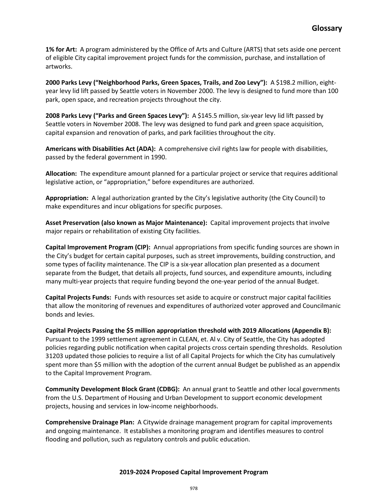**1% for Art:** A program administered by the Office of Arts and Culture (ARTS) that sets aside one percent of eligible City capital improvement project funds for the commission, purchase, and installation of artworks.

**2000 Parks Levy ("Neighborhood Parks, Green Spaces, Trails, and Zoo Levy"):** A \$198.2 million, eightyear levy lid lift passed by Seattle voters in November 2000. The levy is designed to fund more than 100 park, open space, and recreation projects throughout the city.

**2008 Parks Levy ("Parks and Green Spaces Levy"):** A \$145.5 million, six-year levy lid lift passed by Seattle voters in November 2008. The levy was designed to fund park and green space acquisition, capital expansion and renovation of parks, and park facilities throughout the city.

**Americans with Disabilities Act (ADA):** A comprehensive civil rights law for people with disabilities, passed by the federal government in 1990.

**Allocation:** The expenditure amount planned for a particular project or service that requires additional legislative action, or "appropriation," before expenditures are authorized.

**Appropriation:** A legal authorization granted by the City's legislative authority (the City Council) to make expenditures and incur obligations for specific purposes.

**Asset Preservation (also known as Major Maintenance):** Capital improvement projects that involve major repairs or rehabilitation of existing City facilities.

**Capital Improvement Program (CIP):** Annual appropriations from specific funding sources are shown in the City's budget for certain capital purposes, such as street improvements, building construction, and some types of facility maintenance. The CIP is a six-year allocation plan presented as a document separate from the Budget, that details all projects, fund sources, and expenditure amounts, including many multi-year projects that require funding beyond the one-year period of the annual Budget.

**Capital Projects Funds:** Funds with resources set aside to acquire or construct major capital facilities that allow the monitoring of revenues and expenditures of authorized voter approved and Councilmanic bonds and levies.

**Capital Projects Passing the \$5 million appropriation threshold with 2019 Allocations (Appendix B):**  Pursuant to the 1999 settlement agreement in CLEAN, et. Al v. City of Seattle, the City has adopted policies regarding public notification when capital projects cross certain spending thresholds. Resolution 31203 updated those policies to require a list of all Capital Projects for which the City has cumulatively spent more than \$5 million with the adoption of the current annual Budget be published as an appendix to the Capital Improvement Program.

**Community Development Block Grant (CDBG):** An annual grant to Seattle and other local governments from the U.S. Department of Housing and Urban Development to support economic development projects, housing and services in low-income neighborhoods.

**Comprehensive Drainage Plan:** A Citywide drainage management program for capital improvements and ongoing maintenance. It establishes a monitoring program and identifies measures to control flooding and pollution, such as regulatory controls and public education.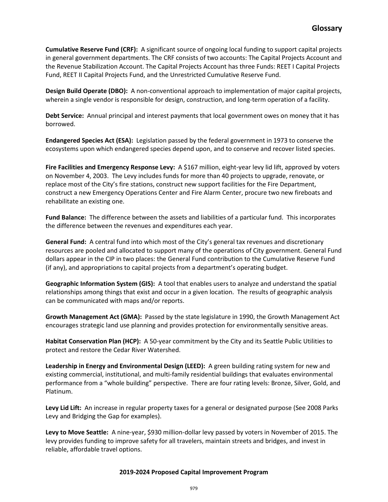**Cumulative Reserve Fund (CRF):** A significant source of ongoing local funding to support capital projects in general government departments. The CRF consists of two accounts: The Capital Projects Account and the Revenue Stabilization Account. The Capital Projects Account has three Funds: REET I Capital Projects Fund, REET II Capital Projects Fund, and the Unrestricted Cumulative Reserve Fund.

**Design Build Operate (DBO):** A non-conventional approach to implementation of major capital projects, wherein a single vendor is responsible for design, construction, and long-term operation of a facility.

**Debt Service:** Annual principal and interest payments that local government owes on money that it has borrowed.

**Endangered Species Act (ESA):** Legislation passed by the federal government in 1973 to conserve the ecosystems upon which endangered species depend upon, and to conserve and recover listed species.

Fire Facilities and Emergency Response Levy: A \$167 million, eight-year levy lid lift, approved by voters on November 4, 2003. The Levy includes funds for more than 40 projects to upgrade, renovate, or replace most of the City's fire stations, construct new support facilities for the Fire Department, construct a new Emergency Operations Center and Fire Alarm Center, procure two new fireboats and rehabilitate an existing one.

**Fund Balance:** The difference between the assets and liabilities of a particular fund. This incorporates the difference between the revenues and expenditures each year.

**General Fund:** A central fund into which most of the City's general tax revenues and discretionary resources are pooled and allocated to support many of the operations of City government. General Fund dollars appear in the CIP in two places: the General Fund contribution to the Cumulative Reserve Fund (if any), and appropriations to capital projects from a department's operating budget.

**Geographic Information System (GIS):** A tool that enables users to analyze and understand the spatial relationships among things that exist and occur in a given location. The results of geographic analysis can be communicated with maps and/or reports.

**Growth Management Act (GMA):** Passed by the state legislature in 1990, the Growth Management Act encourages strategic land use planning and provides protection for environmentally sensitive areas.

**Habitat Conservation Plan (HCP):** A 50-year commitment by the City and its Seattle Public Utilities to protect and restore the Cedar River Watershed.

**Leadership in Energy and Environmental Design (LEED):** A green building rating system for new and existing commercial, institutional, and multi-family residential buildings that evaluates environmental performance from a "whole building" perspective. There are four rating levels: Bronze, Silver, Gold, and Platinum.

**Levy Lid Lift:** An increase in regular property taxes for a general or designated purpose (See 2008 Parks Levy and Bridging the Gap for examples).

Levy to Move Seattle: A nine-year, \$930 million-dollar levy passed by voters in November of 2015. The levy provides funding to improve safety for all travelers, maintain streets and bridges, and invest in reliable, affordable travel options.

## **2019-2024 Proposed Capital Improvement Program**